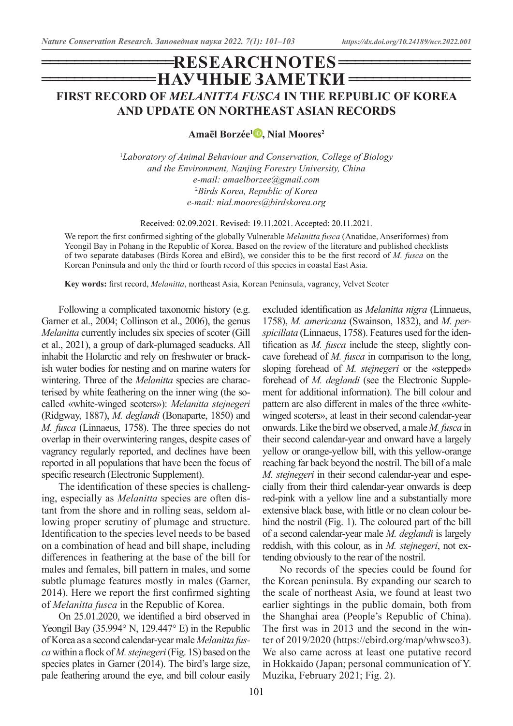# **=НАУЧНЫЕ ЗАМЕТКИ = ================ RESEARCH NOTES ================ FIRST RECORD OF** *MELANITTA FUSCA* **IN THE REPUBLIC OF KOREA AND UPDATE ON NORTHEAST ASIAN RECORDS**

**Amaël Borzée[1](https://orcid.org/0000-0003-1093-677X) , Nial Moores2**

1 *Laboratory of Animal Behaviour and Conservation, College of Biology and the Environment, Nanjing Forestry University, China e-mail: amaelborzee@gmail.com* 2 *Birds Korea, Republic of Korea e-mail: nial.moores@birdskorea.org*

Received: 02.09.2021. Revised: 19.11.2021. Accepted: 20.11.2021.

We report the first confirmed sighting of the globally Vulnerable *Melanitta fusca* (Anatidae, Anseriformes) from Yeongil Bay in Pohang in the Republic of Korea. Based on the review of the literature and published checklists of two separate databases (Birds Korea and eBird), we consider this to be the first record of *M. fusca* on the Korean Peninsula and only the third or fourth record of this species in coastal East Asia.

**Key words:** first record, *Melanitta*, northeast Asia, Korean Peninsula, vagrancy, Velvet Scoter

Following a complicated taxonomic history (e.g. Garner et al., 2004; Collinson et al., 2006), the genus *Melanitta* currently includes six species of scoter (Gill et al., 2021), a group of dark-plumaged seaducks. All inhabit the Holarctic and rely on freshwater or brackish water bodies for nesting and on marine waters for wintering. Three of the *Melanitta* species are characterised by white feathering on the inner wing (the socalled «white-winged scoters»): *Melanitta stejnegeri*  (Ridgway, 1887), *M. deglandi* (Bonaparte, 1850) and *M. fusca* (Linnaeus, 1758). The three species do not overlap in their overwintering ranges, despite cases of vagrancy regularly reported, and declines have been reported in all populations that have been the focus of specific research (Electronic Supplement).

The identification of these species is challenging, especially as *Melanitta* species are often distant from the shore and in rolling seas, seldom allowing proper scrutiny of plumage and structure. Identification to the species level needs to be based on a combination of head and bill shape, including differences in feathering at the base of the bill for males and females, bill pattern in males, and some subtle plumage features mostly in males (Garner, 2014). Here we report the first confirmed sighting of *Melanitta fusca* in the Republic of Korea.

On 25.01.2020, we identified a bird observed in Yeongil Bay (35.994° N, 129.447° E) in the Republic of Korea as a second calendar-year male *Melanitta fusca* within a flock of *M. stejnegeri* (Fig. 1S) based on the species plates in Garner (2014). The bird's large size, pale feathering around the eye, and bill colour easily

excluded identification as *Melanitta nigra* (Linnaeus, 1758), *M. americana* (Swainson, 1832), and *M. perspicillata* (Linnaeus, 1758). Features used for the identification as *M. fusca* include the steep, slightly concave forehead of *M. fusca* in comparison to the long, sloping forehead of *M. stejnegeri* or the «stepped» forehead of *M. deglandi* (see the Electronic Supplement for additional information). The bill colour and pattern are also different in males of the three «whitewinged scoters», at least in their second calendar-year onwards. Like the bird we observed, a male *M. fusca* in their second calendar-year and onward have a largely yellow or orange-yellow bill, with this yellow-orange reaching far back beyond the nostril. The bill of a male *M. stejnegeri* in their second calendar-year and especially from their third calendar-year onwards is deep red-pink with a yellow line and a substantially more extensive black base, with little or no clean colour behind the nostril (Fig. 1). The coloured part of the bill of a second calendar-year male *M. deglandi* is largely reddish, with this colour, as in *M. stejnegeri*, not extending obviously to the rear of the nostril.

No records of the species could be found for the Korean peninsula. By expanding our search to the scale of northeast Asia, we found at least two earlier sightings in the public domain, both from the Shanghai area (People's Republic of China). The first was in 2013 and the second in the winter of 2019/2020 (https://ebird.org/map/whwsco3). We also came across at least one putative record in Hokkaido (Japan; personal communication of Y. Muzika, February 2021; Fig. 2).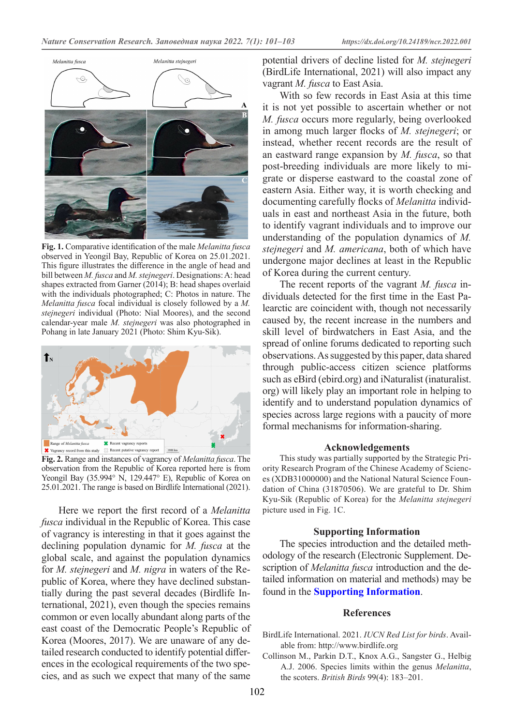

**Fig. 1.** Comparative identification of the male *Melanitta fusca* observed in Yeongil Bay, Republic of Korea on 25.01.2021. This figure illustrates the difference in the angle of head and bill between *M. fusca* and *M. stejnegeri*. Designations: A: head shapes extracted from Garner (2014); B: head shapes overlaid with the individuals photographed; C: Photos in nature. The *Melanitta fusca* focal individual is closely followed by a *M. stejnegeri* individual (Photo: Nial Moores), and the second calendar-year male *M. stejnegeri* was also photographed in Pohang in late January 2021 (Photo: Shim Kyu-Sik).



**Fig. 2.** Range and instances of vagrancy of *Melanitta fusca*. The observation from the Republic of Korea reported here is from Yeongil Bay (35.994° N, 129.447° E), Republic of Korea on 25.01.2021. The range is based on Birdlife International (2021).

Here we report the first record of a *Melanitta fusca* individual in the Republic of Korea. This case of vagrancy is interesting in that it goes against the declining population dynamic for *M. fusca* at the global scale, and against the population dynamics for *M. stejnegeri* and *M. nigra* in waters of the Republic of Korea, where they have declined substantially during the past several decades (Birdlife International, 2021), even though the species remains common or even locally abundant along parts of the east coast of the Democratic People's Republic of Korea (Moores, 2017). We are unaware of any detailed research conducted to identify potential differences in the ecological requirements of the two species, and as such we expect that many of the same

potential drivers of decline listed for *M. stejnegeri* (BirdLife International, 2021) will also impact any vagrant *M. fusca* to East Asia.

With so few records in East Asia at this time it is not yet possible to ascertain whether or not *M. fusca* occurs more regularly, being overlooked in among much larger flocks of *M. stejnegeri*; or instead, whether recent records are the result of an eastward range expansion by *M. fusca*, so that post-breeding individuals are more likely to migrate or disperse eastward to the coastal zone of eastern Asia. Either way, it is worth checking and documenting carefully flocks of *Melanitta* individuals in east and northeast Asia in the future, both to identify vagrant individuals and to improve our understanding of the population dynamics of *M. stejnegeri* and *M. americana*, both of which have undergone major declines at least in the Republic of Korea during the current century.

The recent reports of the vagrant *M. fusca* individuals detected for the first time in the East Palearctic are coincident with, though not necessarily caused by, the recent increase in the numbers and skill level of birdwatchers in East Asia, and the spread of online forums dedicated to reporting such observations. As suggested by this paper, data shared through public-access citizen science platforms such as eBird (ebird.org) and iNaturalist (inaturalist. org) will likely play an important role in helping to identify and to understand population dynamics of species across large regions with a paucity of more formal mechanisms for information-sharing.

#### **Acknowledgements**

This study was partially supported by the Strategic Priority Research Program of the Chinese Academy of Sciences (XDB31000000) and the National Natural Science Foundation of China (31870506). We are grateful to Dr. Shim Kyu-Sik (Republic of Korea) for the *Melanitta stejnegeri* picture used in Fig. 1C.

#### **Supporting Information**

The species introduction and the detailed methodology of the research (Electronic Supplement. Description of *Melanitta fusca* introduction and the detailed information on material and methods) may be found in the **[Supporting Information](http://ncr-journal.bear-land.org/article/356)**.

#### **References**

- BirdLife International. 2021. *IUCN Red List for birds*. Available from: http://www.birdlife.org
- Collinson M., Parkin D.T., Knox A.G., Sangster G., Helbig A.J. 2006. Species limits within the genus *Melanitta*, the scoters. *British Birds* 99(4): 183–201.